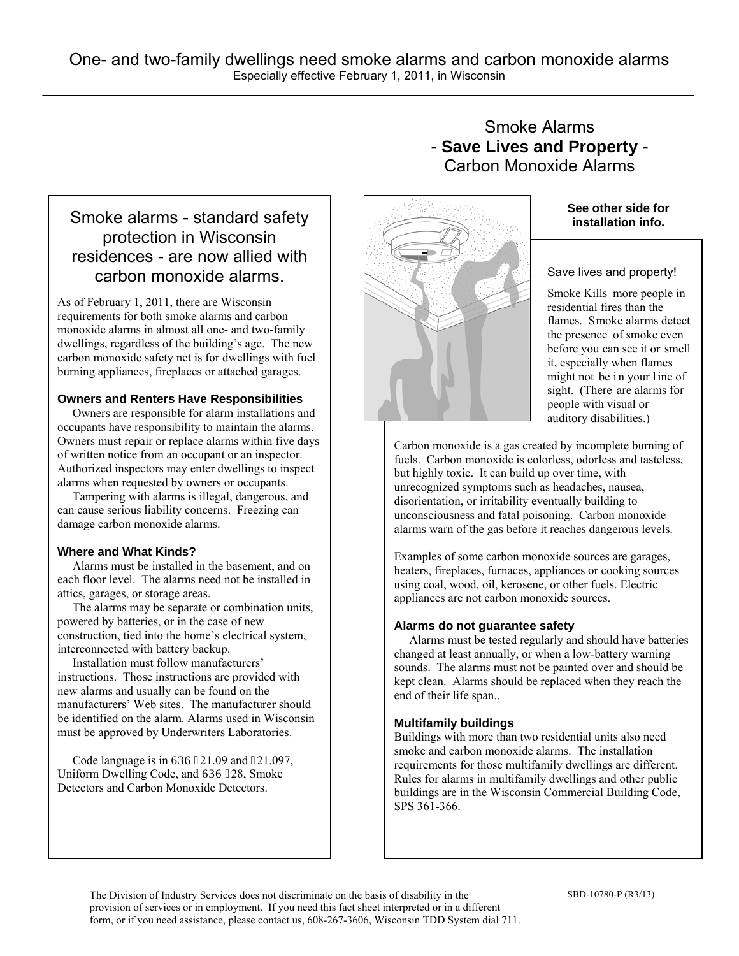# Smoke alarms - standard safety protection in Wisconsin residences - are now allied with carbon monoxide alarms.

As of February 1, 2011, there are Wisconsin requirements for both smoke alarms and carbon monoxide alarms in almost all one- and two-family dwellings, regardless of the building's age. The new carbon monoxide safety net is for dwellings with fuel burning appliances, fireplaces or attached garages.

#### **Owners and Renters Have Responsibilities**

 Owners are responsible for alarm installations and occupants have responsibility to maintain the alarms. Owners must repair or replace alarms within five days of written notice from an occupant or an inspector. Authorized inspectors may enter dwellings to inspect alarms when requested by owners or occupants.

 Tampering with alarms is illegal, dangerous, and can cause serious liability concerns. Freezing can damage carbon monoxide alarms.

### **Where and What Kinds?**

 Alarms must be installed in the basement, and on each floor level. The alarms need not be installed in attics, garages, or storage areas.

 The alarms may be separate or combination units, powered by batteries, or in the case of new construction, tied into the home's electrical system, interconnected with battery backup.

 Installation must follow manufacturers' instructions. Those instructions are provided with new alarms and usually can be found on the manufacturers' Web sites. The manufacturer should be identified on the alarm. Alarms used in Wisconsin must be approved by Underwriters Laboratories.

Code language is in  $URU521.09$  and  $521.097$ , Uniform Dwelling Code, and URU 528, Smoke Detectors and Carbon Monoxide Detectors.

# Smoke Alarms - **Save Lives and Property** - Carbon Monoxide Alarms



### **See other side for installation info.**

#### Save lives and property!

Smoke Kills more people in residential fires than the flames. Smoke alarms detect the presence of smoke even before you can see it or smell it, especially when flames might not be in your line of sight. (There are alarms for people with visual or auditory disabilities.)

Carbon monoxide is a gas created by incomplete burning of fuels. Carbon monoxide is colorless, odorless and tasteless, but highly toxic. It can build up over time, with unrecognized symptoms such as headaches, nausea, disorientation, or irritability eventually building to unconsciousness and fatal poisoning. Carbon monoxide alarms warn of the gas before it reaches dangerous levels.

Examples of some carbon monoxide sources are garages, heaters, fireplaces, furnaces, appliances or cooking sources using coal, wood, oil, kerosene, or other fuels. Electric appliances are not carbon monoxide sources.

#### **Alarms do not guarantee safety**

 Alarms must be tested regularly and should have batteries changed at least annually, or when a low-battery warning sounds. The alarms must not be painted over and should be kept clean. Alarms should be replaced when they reach the end of their life span..

### **Multifamily buildings**

Buildings with more than two residential units also need smoke and carbon monoxide alarms. The installation requirements for those multifamily dwellings are different. Rules for alarms in multifamily dwellings and other public buildings are in the Wisconsin Commercial Building Code, SPS 361-366.

The Division of Industry Services does not discriminate on the basis of disability in the SBD-10780-P (R3/13) provision of services or in employment. If you need this fact sheet interpreted or in a different form, or if you need assistance, please contact us, 608-267-3606, Wisconsin TDD System dial 711.